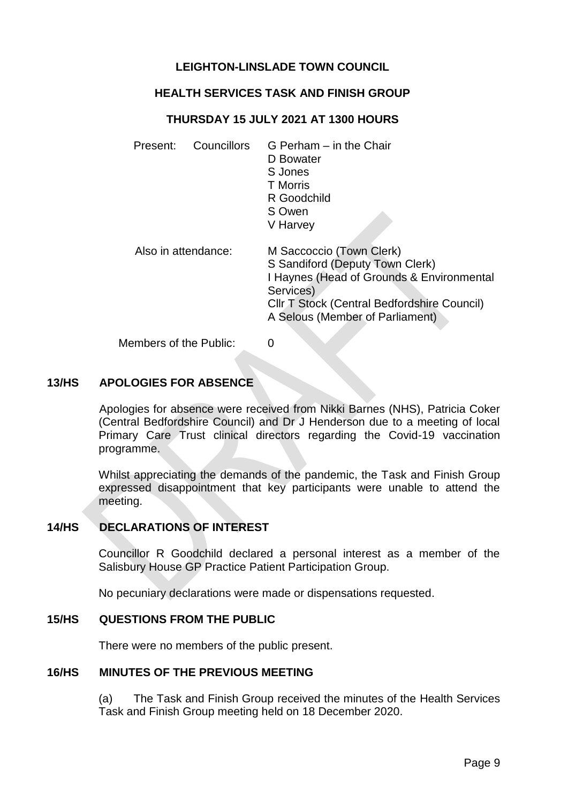# **LEIGHTON-LINSLADE TOWN COUNCIL**

## **HEALTH SERVICES TASK AND FINISH GROUP**

### **THURSDAY 15 JULY 2021 AT 1300 HOURS**

| Councillors<br>Present: | G Perham - in the Chair<br>D Bowater<br>S Jones<br><b>T</b> Morris<br>R Goodchild<br>S Owen<br>V Harvey                                                                                                 |
|-------------------------|---------------------------------------------------------------------------------------------------------------------------------------------------------------------------------------------------------|
| Also in attendance:     | M Saccoccio (Town Clerk)<br>S Sandiford (Deputy Town Clerk)<br>I Haynes (Head of Grounds & Environmental<br>Services)<br>CIIr T Stock (Central Bedfordshire Council)<br>A Selous (Member of Parliament) |
| Members of the Public:  | $\mathbf{\Omega}$                                                                                                                                                                                       |

#### **13/HS APOLOGIES FOR ABSENCE**

Apologies for absence were received from Nikki Barnes (NHS), Patricia Coker (Central Bedfordshire Council) and Dr J Henderson due to a meeting of local Primary Care Trust clinical directors regarding the Covid-19 vaccination programme.

Whilst appreciating the demands of the pandemic, the Task and Finish Group expressed disappointment that key participants were unable to attend the meeting.

## **14/HS DECLARATIONS OF INTEREST**

Councillor R Goodchild declared a personal interest as a member of the Salisbury House GP Practice Patient Participation Group.

No pecuniary declarations were made or dispensations requested.

#### **15/HS QUESTIONS FROM THE PUBLIC**

There were no members of the public present.

#### **16/HS MINUTES OF THE PREVIOUS MEETING**

(a) The Task and Finish Group received the minutes of the Health Services Task and Finish Group meeting held on 18 December 2020.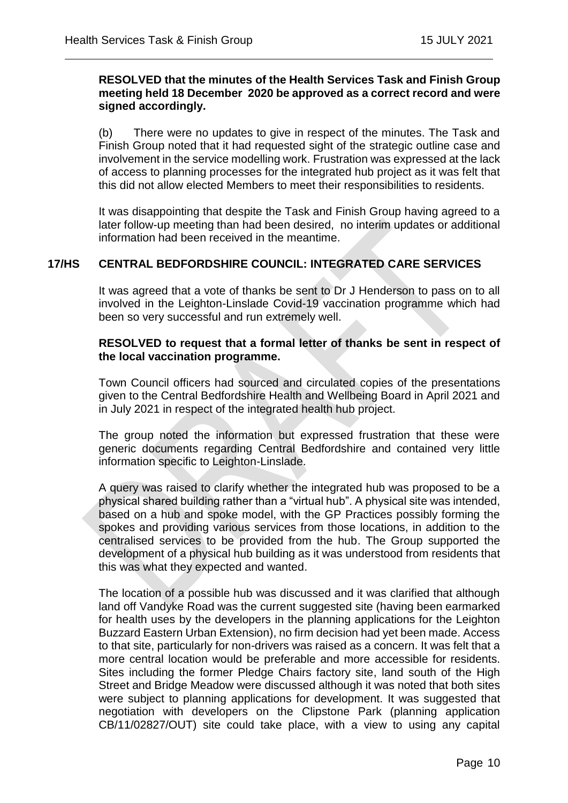### **RESOLVED that the minutes of the Health Services Task and Finish Group meeting held 18 December 2020 be approved as a correct record and were signed accordingly.**

(b) There were no updates to give in respect of the minutes. The Task and Finish Group noted that it had requested sight of the strategic outline case and involvement in the service modelling work. Frustration was expressed at the lack of access to planning processes for the integrated hub project as it was felt that this did not allow elected Members to meet their responsibilities to residents.

It was disappointing that despite the Task and Finish Group having agreed to a later follow-up meeting than had been desired, no interim updates or additional information had been received in the meantime.

## **17/HS CENTRAL BEDFORDSHIRE COUNCIL: INTEGRATED CARE SERVICES**

 $\overline{a}$ 

It was agreed that a vote of thanks be sent to Dr J Henderson to pass on to all involved in the Leighton-Linslade Covid-19 vaccination programme which had been so very successful and run extremely well.

## **RESOLVED to request that a formal letter of thanks be sent in respect of the local vaccination programme.**

Town Council officers had sourced and circulated copies of the presentations given to the Central Bedfordshire Health and Wellbeing Board in April 2021 and in July 2021 in respect of the integrated health hub project.

The group noted the information but expressed frustration that these were generic documents regarding Central Bedfordshire and contained very little information specific to Leighton-Linslade.

A query was raised to clarify whether the integrated hub was proposed to be a physical shared building rather than a "virtual hub". A physical site was intended, based on a hub and spoke model, with the GP Practices possibly forming the spokes and providing various services from those locations, in addition to the centralised services to be provided from the hub. The Group supported the development of a physical hub building as it was understood from residents that this was what they expected and wanted.

The location of a possible hub was discussed and it was clarified that although land off Vandyke Road was the current suggested site (having been earmarked for health uses by the developers in the planning applications for the Leighton Buzzard Eastern Urban Extension), no firm decision had yet been made. Access to that site, particularly for non-drivers was raised as a concern. It was felt that a more central location would be preferable and more accessible for residents. Sites including the former Pledge Chairs factory site, land south of the High Street and Bridge Meadow were discussed although it was noted that both sites were subject to planning applications for development. It was suggested that negotiation with developers on the Clipstone Park (planning application CB/11/02827/OUT) site could take place, with a view to using any capital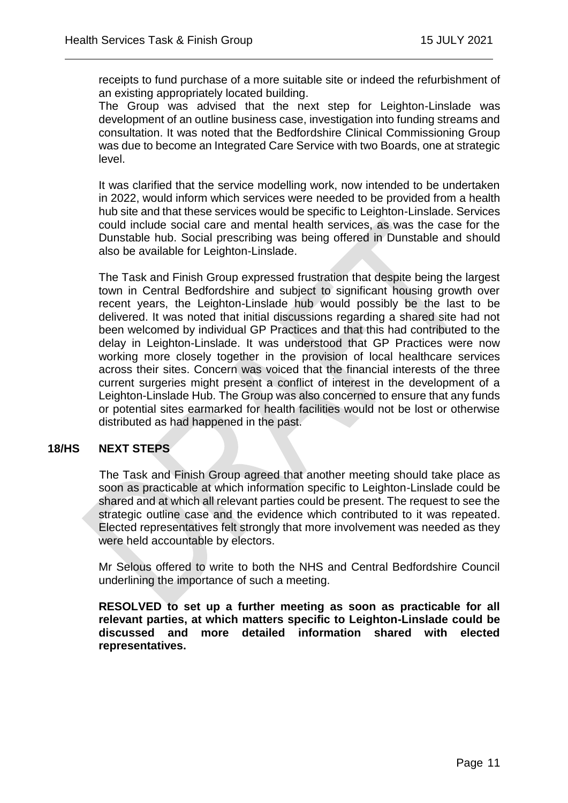receipts to fund purchase of a more suitable site or indeed the refurbishment of an existing appropriately located building.

 $\overline{a}$ 

The Group was advised that the next step for Leighton-Linslade was development of an outline business case, investigation into funding streams and consultation. It was noted that the Bedfordshire Clinical Commissioning Group was due to become an Integrated Care Service with two Boards, one at strategic level.

It was clarified that the service modelling work, now intended to be undertaken in 2022, would inform which services were needed to be provided from a health hub site and that these services would be specific to Leighton-Linslade. Services could include social care and mental health services, as was the case for the Dunstable hub. Social prescribing was being offered in Dunstable and should also be available for Leighton-Linslade.

The Task and Finish Group expressed frustration that despite being the largest town in Central Bedfordshire and subject to significant housing growth over recent years, the Leighton-Linslade hub would possibly be the last to be delivered. It was noted that initial discussions regarding a shared site had not been welcomed by individual GP Practices and that this had contributed to the delay in Leighton-Linslade. It was understood that GP Practices were now working more closely together in the provision of local healthcare services across their sites. Concern was voiced that the financial interests of the three current surgeries might present a conflict of interest in the development of a Leighton-Linslade Hub. The Group was also concerned to ensure that any funds or potential sites earmarked for health facilities would not be lost or otherwise distributed as had happened in the past.

## **18/HS NEXT STEPS**

The Task and Finish Group agreed that another meeting should take place as soon as practicable at which information specific to Leighton-Linslade could be shared and at which all relevant parties could be present. The request to see the strategic outline case and the evidence which contributed to it was repeated. Elected representatives felt strongly that more involvement was needed as they were held accountable by electors.

Mr Selous offered to write to both the NHS and Central Bedfordshire Council underlining the importance of such a meeting.

**RESOLVED to set up a further meeting as soon as practicable for all relevant parties, at which matters specific to Leighton-Linslade could be discussed and more detailed information shared with elected representatives.**